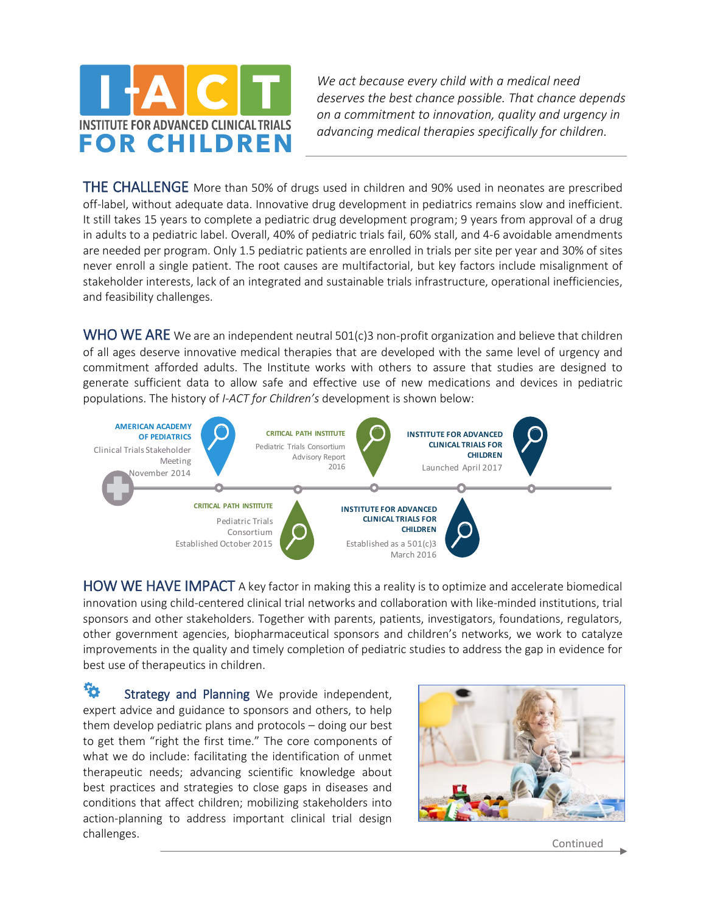

*We act because every child with a medical need deserves the best chance possible. That chance depends on a commitment to innovation, quality and urgency in advancing medical therapies specifically for children.*

THE CHALLENGE More than 50% of drugs used in children and 90% used in neonates are prescribed off-label, without adequate data. Innovative drug development in pediatrics remains slow and inefficient. It still takes 15 years to complete a pediatric drug development program; 9 years from approval of a drug in adults to a pediatric label. Overall, 40% of pediatric trials fail, 60% stall, and 4-6 avoidable amendments are needed per program. Only 1.5 pediatric patients are enrolled in trials per site per year and 30% of sites never enroll a single patient. The root causes are multifactorial, but key factors include misalignment of stakeholder interests, lack of an integrated and sustainable trials infrastructure, operational inefficiencies, and feasibility challenges.

WHO WE ARE We are an independent neutral 501(c)3 non-profit organization and believe that children of all ages deserve innovative medical therapies that are developed with the same level of urgency and commitment afforded adults. The Institute works with others to assure that studies are designed to generate sufficient data to allow safe and effective use of new medications and devices in pediatric populations. The history of *I-ACT for Children's* development is shown below:



HOW WE HAVE IMPACT A key factor in making this a reality is to optimize and accelerate biomedical innovation using child-centered clinical trial networks and collaboration with like-minded institutions, trial sponsors and other stakeholders. Together with parents, patients, investigators, foundations, regulators, other government agencies, biopharmaceutical sponsors and children's networks, we work to catalyze improvements in the quality and timely completion of pediatric studies to address the gap in evidence for best use of therapeutics in children.

ъ. Strategy and Planning We provide independent, expert advice and guidance to sponsors and others, to help them develop pediatric plans and protocols – doing our best to get them "right the first time." The core components of what we do include: facilitating the identification of unmet therapeutic needs; advancing scientific knowledge about best practices and strategies to close gaps in diseases and conditions that affect children; mobilizing stakeholders into action-planning to address important clinical trial design challenges.